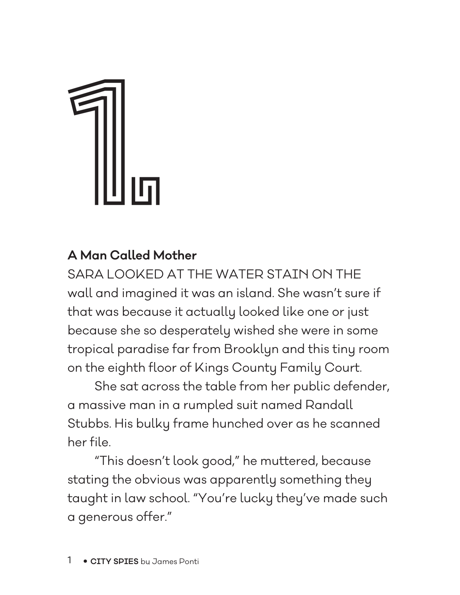## 1.

## **A Man Called Mother**

SARA LOOKED AT THE WATER STAIN ON THE wall and imagined it was an island. She wasn't sure if that was because it actually looked like one or just because she so desperately wished she were in some tropical paradise far from Brooklyn and this tiny room on the eighth floor of Kings County Family Court.

She sat across the table from her public defender, a massive man in a rumpled suit named Randall Stubbs. His bulky frame hunched over as he scanned her file.

"This doesn't look good," he muttered, because stating the obvious was apparently something they taught in law school. "You're lucky they've made such a generous offer."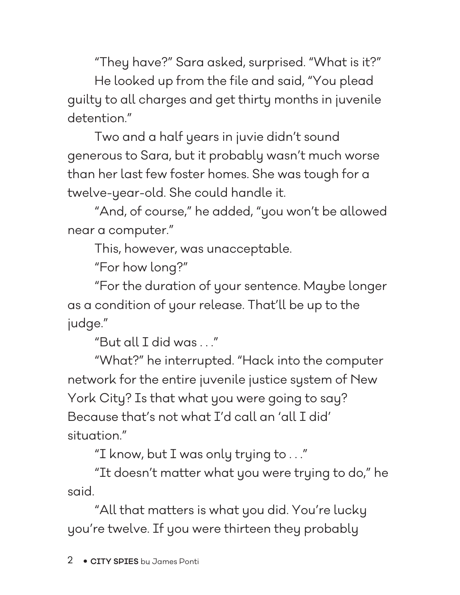"They have?" Sara asked, surprised. "What is it?" He looked up from the file and said, "You plead guilty to all charges and get thirty months in juvenile detention."

Two and a half years in juvie didn't sound generous to Sara, but it probably wasn't much worse than her last few foster homes. She was tough for a twelve-year-old. She could handle it.

"And, of course," he added, "you won't be allowed near a computer."

This, however, was unacceptable.

"For how long?"

"For the duration of your sentence. Maybe longer as a condition of your release. That'll be up to the judge."

"But all I did was . . ."

"What?" he interrupted. "Hack into the computer network for the entire juvenile justice system of New York City? Is that what you were going to say? Because that's not what I'd call an 'all I did' situation."

"I know, but I was only trying to . . ."

"It doesn't matter what you were trying to do," he said.

"All that matters is what you did. You're lucky you're twelve. If you were thirteen they probably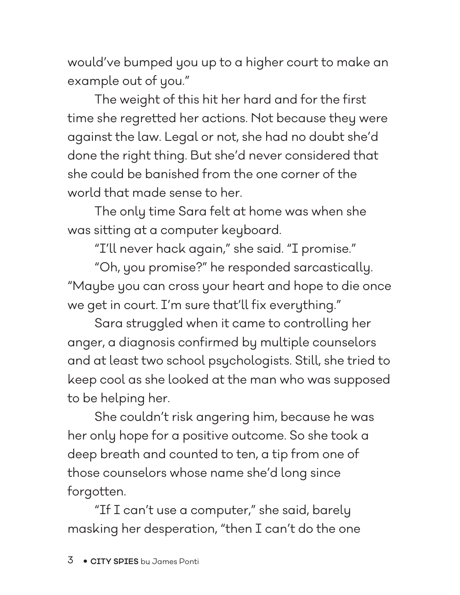would've bumped you up to a higher court to make an example out of you."

The weight of this hit her hard and for the first time she regretted her actions. Not because they were against the law. Legal or not, she had no doubt she'd done the right thing. But she'd never considered that she could be banished from the one corner of the world that made sense to her.

The only time Sara felt at home was when she was sitting at a computer keyboard.

"I'll never hack again," she said. "I promise."

"Oh, you promise?" he responded sarcastically. "Maybe you can cross your heart and hope to die once we get in court. I'm sure that'll fix everything."

Sara struggled when it came to controlling her anger, a diagnosis confirmed by multiple counselors and at least two school psychologists. Still, she tried to keep cool as she looked at the man who was supposed to be helping her.

She couldn't risk angering him, because he was her only hope for a positive outcome. So she took a deep breath and counted to ten, a tip from one of those counselors whose name she'd long since forgotten.

"If I can't use a computer," she said, barely masking her desperation, "then I can't do the one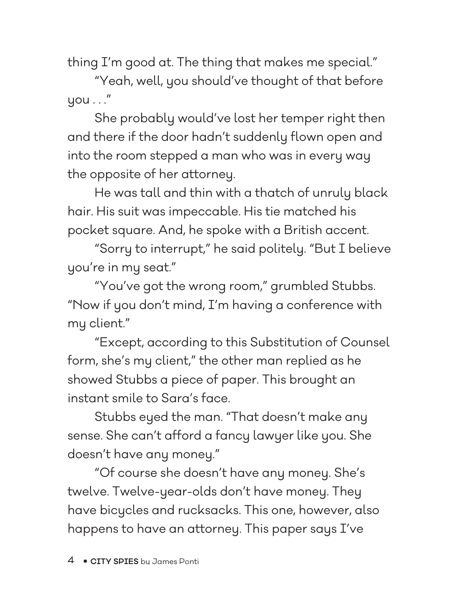thing I'm good at. The thing that makes me special."

"Yeah, well, you should've thought of that before  $y$ ou  $\ldots$ "

She probably would've lost her temper right then and there if the door hadn't suddenly flown open and into the room stepped a man who was in every way the opposite of her attorney.

He was tall and thin with a thatch of unruly black hair. His suit was impeccable. His tie matched his pocket square. And, he spoke with a British accent.

"Sorry to interrupt," he said politely. "But I believe you're in my seat."

"You've got the wrong room," grumbled Stubbs. "Now if you don't mind, I'm having a conference with my client."

"Except, according to this Substitution of Counsel form, she's my client," the other man replied as he showed Stubbs a piece of paper. This brought an instant smile to Sara's face.

Stubbs eyed the man. "That doesn't make any sense. She can't afford a fancy lawyer like you. She doesn't have any money."

"Of course she doesn't have any money. She's twelve. Twelve-year-olds don't have money. They have bicycles and rucksacks. This one, however, also happens to have an attorney. This paper says I've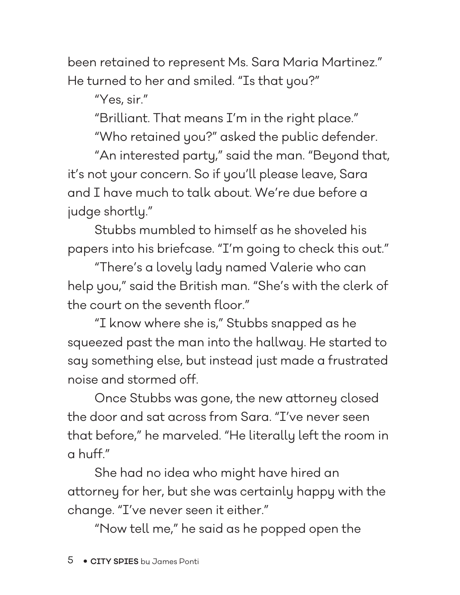been retained to represent Ms. Sara Maria Martinez." He turned to her and smiled. "Is that you?"

"Yes, sir."

"Brilliant. That means I'm in the right place."

"Who retained you?" asked the public defender.

"An interested party," said the man. "Beyond that, it's not your concern. So if you'll please leave, Sara and I have much to talk about. We're due before a judge shortly."

Stubbs mumbled to himself as he shoveled his papers into his briefcase. "I'm going to check this out."

"There's a lovely lady named Valerie who can help you," said the British man. "She's with the clerk of the court on the seventh floor."

"I know where she is," Stubbs snapped as he squeezed past the man into the hallway. He started to say something else, but instead just made a frustrated noise and stormed off.

Once Stubbs was gone, the new attorney closed the door and sat across from Sara. "I've never seen that before," he marveled. "He literally left the room in a huff."

She had no idea who might have hired an attorney for her, but she was certainly happy with the change. "I've never seen it either."

"Now tell me," he said as he popped open the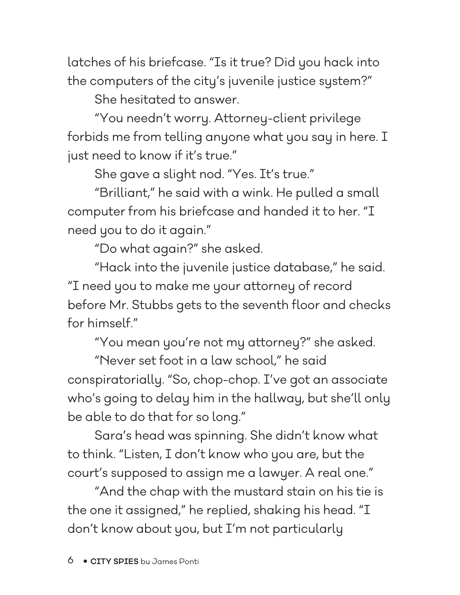latches of his briefcase. "Is it true? Did you hack into the computers of the city's juvenile justice system?"

She hesitated to answer.

"You needn't worry. Attorney-client privilege forbids me from telling anyone what you say in here. I just need to know if it's true."

She gave a slight nod. "Yes. It's true."

"Brilliant," he said with a wink. He pulled a small computer from his briefcase and handed it to her. "I need you to do it again."

"Do what again?" she asked.

"Hack into the juvenile justice database," he said. "I need you to make me your attorney of record before Mr. Stubbs gets to the seventh floor and checks for himself"

"You mean you're not my attorney?" she asked.

"Never set foot in a law school," he said conspiratorially. "So, chop-chop. I've got an associate who's going to delay him in the hallway, but she'll only be able to do that for so long."

Sara's head was spinning. She didn't know what to think. "Listen, I don't know who you are, but the court's supposed to assign me a lawyer. A real one."

"And the chap with the mustard stain on his tie is the one it assigned," he replied, shaking his head. "I don't know about you, but I'm not particularly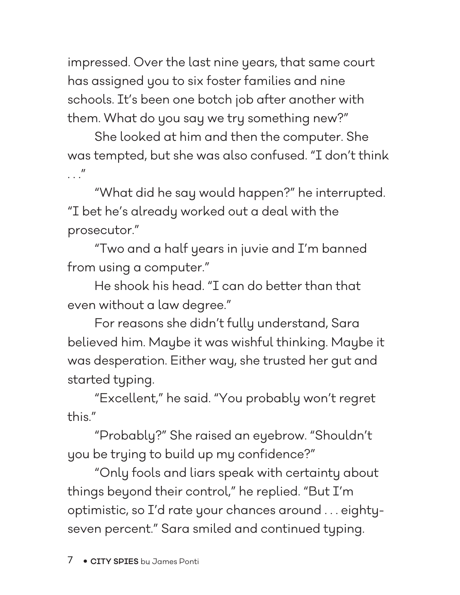impressed. Over the last nine years, that same court has assigned you to six foster families and nine schools. It's been one botch job after another with them. What do you say we try something new?"

She looked at him and then the computer. She was tempted, but she was also confused. "I don't think  $\overline{u}$ 

"What did he say would happen?" he interrupted. "I bet he's already worked out a deal with the prosecutor."

"Two and a half years in juvie and I'm banned from using a computer."

He shook his head. "I can do better than that even without a law degree."

For reasons she didn't fully understand, Sara believed him. Maybe it was wishful thinking. Maybe it was desperation. Either way, she trusted her gut and started typing.

"Excellent," he said. "You probably won't regret this."

"Probably?" She raised an eyebrow. "Shouldn't you be trying to build up my confidence?"

"Only fools and liars speak with certainty about things beyond their control," he replied. "But I'm optimistic, so I'd rate your chances around . . . eightyseven percent." Sara smiled and continued typing.

7 • **CITY SPIES** by James Ponti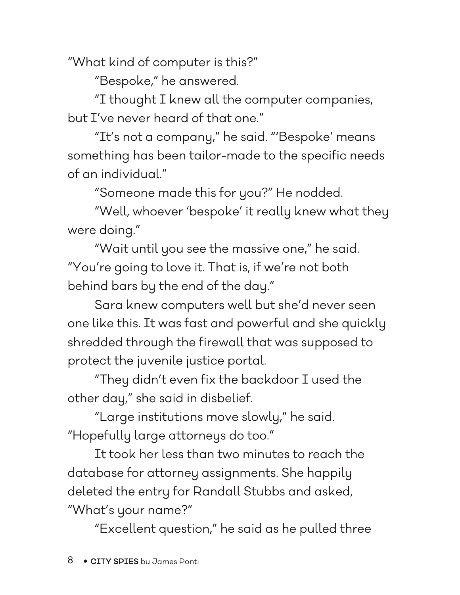"What kind of computer is this?"

"Bespoke," he answered.

"I thought I knew all the computer companies, but I've never heard of that one."

"It's not a company," he said. "'Bespoke' means something has been tailor-made to the specific needs of an individual."

"Someone made this for you?" He nodded.

"Well, whoever 'bespoke' it really knew what they were doing."

"Wait until you see the massive one," he said. "You're going to love it. That is, if we're not both behind bars by the end of the day."

Sara knew computers well but she'd never seen one like this. It was fast and powerful and she quickly shredded through the firewall that was supposed to protect the juvenile justice portal.

"They didn't even fix the backdoor I used the other day," she said in disbelief.

"Large institutions move slowly," he said. "Hopefully large attorneys do too."

It took her less than two minutes to reach the database for attorney assignments. She happily deleted the entry for Randall Stubbs and asked, "What's your name?"

"Excellent question," he said as he pulled three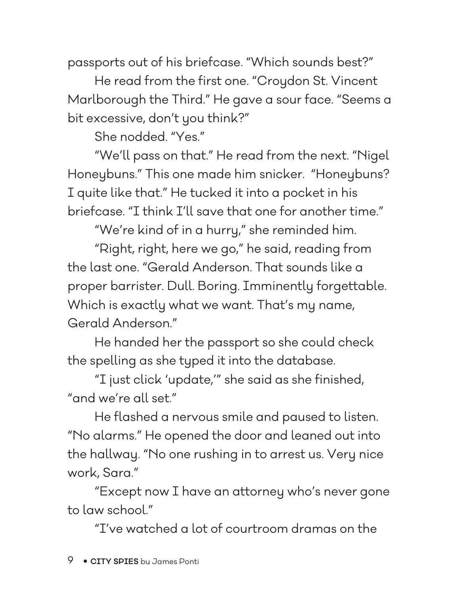passports out of his briefcase. "Which sounds best?"

He read from the first one. "Croydon St. Vincent Marlborough the Third." He gave a sour face. "Seems a bit excessive, don't you think?"

She nodded. "Yes."

"We'll pass on that." He read from the next. "Nigel Honeybuns." This one made him snicker. "Honeybuns? I quite like that." He tucked it into a pocket in his briefcase. "I think I'll save that one for another time."

"We're kind of in a hurry," she reminded him.

"Right, right, here we go," he said, reading from the last one. "Gerald Anderson. That sounds like a proper barrister. Dull. Boring. Imminently forgettable. Which is exactly what we want. That's my name, Gerald Anderson."

He handed her the passport so she could check the spelling as she typed it into the database.

"I just click 'update,'" she said as she finished, "and we're all set."

He flashed a nervous smile and paused to listen. "No alarms." He opened the door and leaned out into the hallway. "No one rushing in to arrest us. Very nice work, Sara."

"Except now I have an attorney who's never gone to law school."

"I've watched a lot of courtroom dramas on the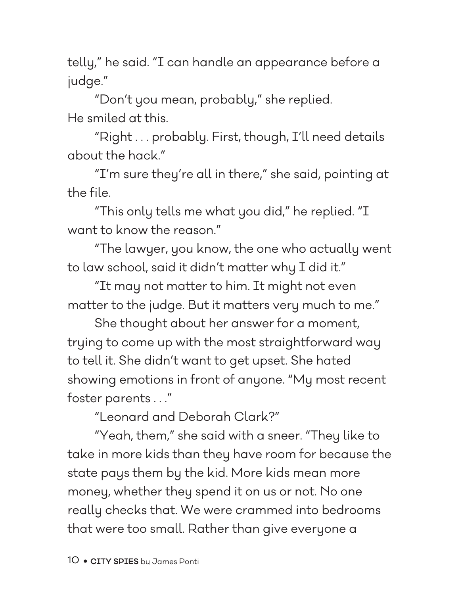telly," he said. "I can handle an appearance before a judge."

"Don't you mean, probably," she replied. He smiled at this.

"Right . . . probably. First, though, I'll need details about the hack."

"I'm sure they're all in there," she said, pointing at the file.

"This only tells me what you did," he replied. "I want to know the reason."

"The lawyer, you know, the one who actually went to law school, said it didn't matter why I did it."

"It may not matter to him. It might not even matter to the judge. But it matters very much to me."

She thought about her answer for a moment, trying to come up with the most straightforward way to tell it. She didn't want to get upset. She hated showing emotions in front of anyone. "My most recent foster parents . . ."

"Leonard and Deborah Clark?"

"Yeah, them," she said with a sneer. "They like to take in more kids than they have room for because the state pays them by the kid. More kids mean more money, whether they spend it on us or not. No one really checks that. We were crammed into bedrooms that were too small. Rather than give everyone a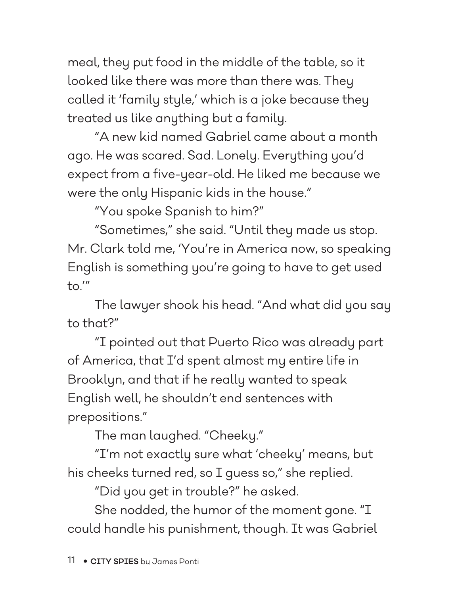meal, they put food in the middle of the table, so it looked like there was more than there was. They called it 'family style,' which is a joke because they treated us like anything but a family.

"A new kid named Gabriel came about a month ago. He was scared. Sad. Lonely. Everything you'd expect from a five-year-old. He liked me because we were the only Hispanic kids in the house."

"You spoke Spanish to him?"

"Sometimes," she said. "Until they made us stop. Mr. Clark told me, 'You're in America now, so speaking English is something you're going to have to get used  $\overline{\mathsf{to}}$ .'"

The lawyer shook his head. "And what did you say to that?"

"I pointed out that Puerto Rico was already part of America, that I'd spent almost my entire life in Brooklyn, and that if he really wanted to speak English well, he shouldn't end sentences with prepositions."

The man laughed. "Cheeky."

"I'm not exactly sure what 'cheeky' means, but his cheeks turned red, so I guess so," she replied.

"Did you get in trouble?" he asked.

She nodded, the humor of the moment gone. "I could handle his punishment, though. It was Gabriel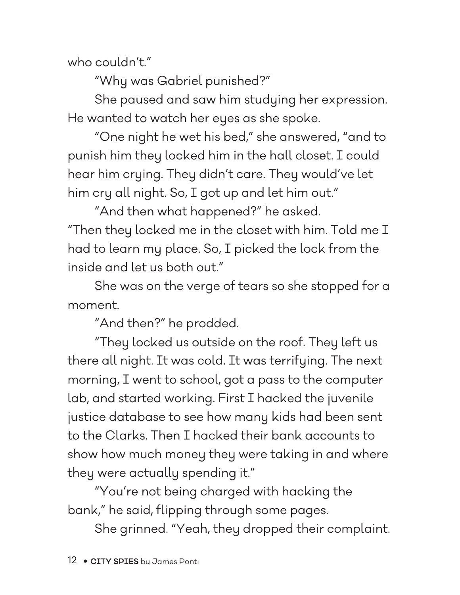who couldn't."

"Why was Gabriel punished?"

She paused and saw him studying her expression. He wanted to watch her eyes as she spoke.

"One night he wet his bed," she answered, "and to punish him they locked him in the hall closet. I could hear him crying. They didn't care. They would've let him cry all night. So, I got up and let him out."

"And then what happened?" he asked. "Then they locked me in the closet with him. Told me I had to learn my place. So, I picked the lock from the inside and let us both out."

She was on the verge of tears so she stopped for a moment.

"And then?" he prodded.

"They locked us outside on the roof. They left us there all night. It was cold. It was terrifying. The next morning, I went to school, got a pass to the computer lab, and started working. First I hacked the juvenile justice database to see how many kids had been sent to the Clarks. Then I hacked their bank accounts to show how much money they were taking in and where they were actually spending it."

"You're not being charged with hacking the bank," he said, flipping through some pages.

She grinned. "Yeah, they dropped their complaint.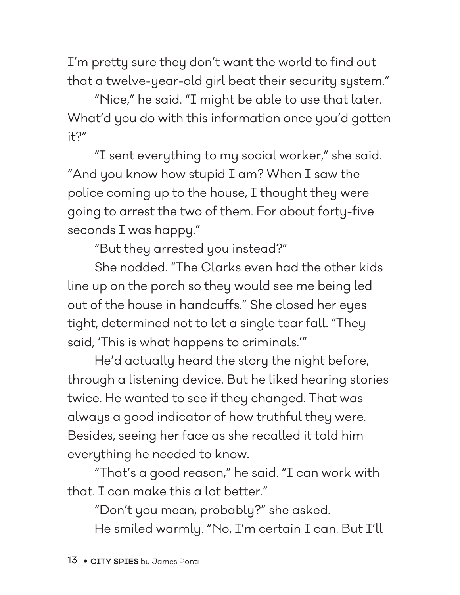I'm pretty sure they don't want the world to find out that a twelve-year-old girl beat their security system."

"Nice," he said. "I might be able to use that later. What'd you do with this information once you'd gotten it?"

"I sent everything to my social worker," she said. "And you know how stupid I am? When I saw the police coming up to the house, I thought they were going to arrest the two of them. For about forty-five seconds I was happy."

"But they arrested you instead?"

She nodded. "The Clarks even had the other kids line up on the porch so they would see me being led out of the house in handcuffs." She closed her eyes tight, determined not to let a single tear fall. "They said, 'This is what happens to criminals.'"

He'd actually heard the story the night before, through a listening device. But he liked hearing stories twice. He wanted to see if they changed. That was always a good indicator of how truthful they were. Besides, seeing her face as she recalled it told him everything he needed to know.

"That's a good reason," he said. "I can work with that. I can make this a lot better."

"Don't you mean, probably?" she asked.

He smiled warmly. "No, I'm certain I can. But I'll